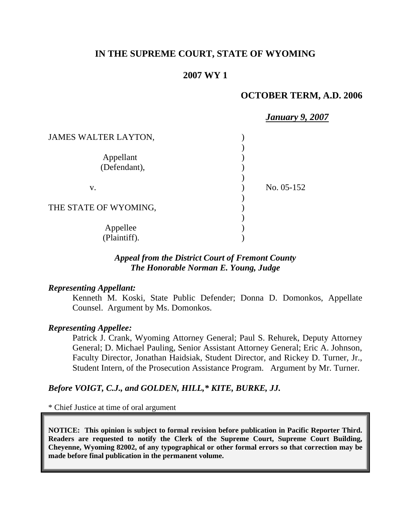# **IN THE SUPREME COURT, STATE OF WYOMING**

# **2007 WY 1**

## **OCTOBER TERM, A.D. 2006**

|                       | <b>January 9, 2007</b> |
|-----------------------|------------------------|
| JAMES WALTER LAYTON,  |                        |
|                       |                        |
| Appellant             |                        |
| (Defendant),          |                        |
|                       |                        |
| V.                    | No. 05-152             |
|                       |                        |
| THE STATE OF WYOMING, |                        |
|                       |                        |
| Appellee              |                        |
| (Plaintiff).          |                        |

# *Appeal from the District Court of Fremont County The Honorable Norman E. Young, Judge*

#### *Representing Appellant:*

Kenneth M. Koski, State Public Defender; Donna D. Domonkos, Appellate Counsel. Argument by Ms. Domonkos.

### *Representing Appellee:*

Patrick J. Crank, Wyoming Attorney General; Paul S. Rehurek, Deputy Attorney General; D. Michael Pauling, Senior Assistant Attorney General; Eric A. Johnson, Faculty Director, Jonathan Haidsiak, Student Director, and Rickey D. Turner, Jr., Student Intern, of the Prosecution Assistance Program. Argument by Mr. Turner.

## *Before VOIGT, C.J., and GOLDEN, HILL,\* KITE, BURKE, JJ.*

\* Chief Justice at time of oral argument

**NOTICE: This opinion is subject to formal revision before publication in Pacific Reporter Third. Readers are requested to notify the Clerk of the Supreme Court, Supreme Court Building, Cheyenne, Wyoming 82002, of any typographical or other formal errors so that correction may be made before final publication in the permanent volume.**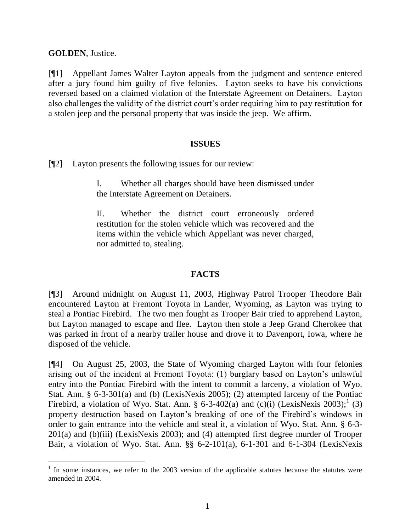**GOLDEN**, Justice.

l

[¶1] Appellant James Walter Layton appeals from the judgment and sentence entered after a jury found him guilty of five felonies. Layton seeks to have his convictions reversed based on a claimed violation of the Interstate Agreement on Detainers. Layton also challenges the validity of the district court's order requiring him to pay restitution for a stolen jeep and the personal property that was inside the jeep. We affirm.

### **ISSUES**

[¶2] Layton presents the following issues for our review:

I. Whether all charges should have been dismissed under the Interstate Agreement on Detainers.

II. Whether the district court erroneously ordered restitution for the stolen vehicle which was recovered and the items within the vehicle which Appellant was never charged, nor admitted to, stealing.

## **FACTS**

[¶3] Around midnight on August 11, 2003, Highway Patrol Trooper Theodore Bair encountered Layton at Fremont Toyota in Lander, Wyoming, as Layton was trying to steal a Pontiac Firebird. The two men fought as Trooper Bair tried to apprehend Layton, but Layton managed to escape and flee. Layton then stole a Jeep Grand Cherokee that was parked in front of a nearby trailer house and drove it to Davenport, Iowa, where he disposed of the vehicle.

[¶4] On August 25, 2003, the State of Wyoming charged Layton with four felonies arising out of the incident at Fremont Toyota: (1) burglary based on Layton's unlawful entry into the Pontiac Firebird with the intent to commit a larceny, a violation of Wyo. Stat. Ann. § 6-3-301(a) and (b) (LexisNexis 2005); (2) attempted larceny of the Pontiac Firebird, a violation of Wyo. Stat. Ann. § 6-3-402(a) and (c)(i) (LexisNexis 2003);<sup>1</sup> (3) property destruction based on Layton's breaking of one of the Firebird's windows in order to gain entrance into the vehicle and steal it, a violation of Wyo. Stat. Ann. § 6-3- 201(a) and (b)(iii) (LexisNexis 2003); and (4) attempted first degree murder of Trooper Bair, a violation of Wyo. Stat. Ann. §§ 6-2-101(a), 6-1-301 and 6-1-304 (LexisNexis

<sup>&</sup>lt;sup>1</sup> In some instances, we refer to the 2003 version of the applicable statutes because the statutes were amended in 2004.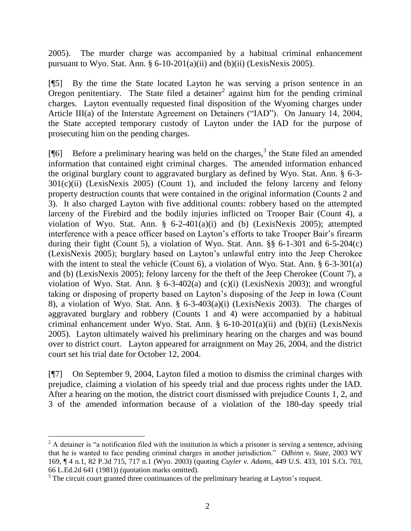2005). The murder charge was accompanied by a habitual criminal enhancement pursuant to Wyo. Stat. Ann.  $\S 6-10-201(a)(ii)$  and  $(b)(ii)$  (LexisNexis 2005).

[¶5] By the time the State located Layton he was serving a prison sentence in an  $O$ regon penitentiary. The State filed a detainer<sup>2</sup> against him for the pending criminal charges. Layton eventually requested final disposition of the Wyoming charges under Article III(a) of the Interstate Agreement on Detainers ("IAD"). On January 14, 2004, the State accepted temporary custody of Layton under the IAD for the purpose of prosecuting him on the pending charges.

[ $[$ ] Before a preliminary hearing was held on the charges,<sup>3</sup> the State filed an amended information that contained eight criminal charges. The amended information enhanced the original burglary count to aggravated burglary as defined by Wyo. Stat. Ann. § 6-3-  $301(c)(ii)$  (LexisNexis 2005) (Count 1), and included the felony larceny and felony property destruction counts that were contained in the original information (Counts 2 and 3). It also charged Layton with five additional counts: robbery based on the attempted larceny of the Firebird and the bodily injuries inflicted on Trooper Bair (Count 4), a violation of Wyo. Stat. Ann. § 6-2-401(a)(i) and (b) (LexisNexis 2005); attempted interference with a peace officer based on Layton's efforts to take Trooper Bair's firearm during their fight (Count 5), a violation of Wyo. Stat. Ann. §§ 6-1-301 and 6-5-204(c) (LexisNexis 2005); burglary based on Layton's unlawful entry into the Jeep Cherokee with the intent to steal the vehicle (Count 6), a violation of Wyo. Stat. Ann. § 6-3-301(a) and (b) (LexisNexis 2005); felony larceny for the theft of the Jeep Cherokee (Count 7), a violation of Wyo. Stat. Ann. § 6-3-402(a) and (c)(i) (LexisNexis 2003); and wrongful taking or disposing of property based on Layton's disposing of the Jeep in Iowa (Count 8), a violation of Wyo. Stat. Ann. § 6-3-403(a)(i) (LexisNexis 2003). The charges of aggravated burglary and robbery (Counts 1 and 4) were accompanied by a habitual criminal enhancement under Wyo. Stat. Ann. § 6-10-201(a)(ii) and (b)(ii) (LexisNexis 2005). Layton ultimately waived his preliminary hearing on the charges and was bound over to district court. Layton appeared for arraignment on May 26, 2004, and the district court set his trial date for October 12, 2004.

[¶7] On September 9, 2004, Layton filed a motion to dismiss the criminal charges with prejudice, claiming a violation of his speedy trial and due process rights under the IAD. After a hearing on the motion, the district court dismissed with prejudice Counts 1, 2, and 3 of the amended information because of a violation of the 180-day speedy trial

 $2^2$  A detainer is "a notification filed with the institution in which a prisoner is serving a sentence, advising that he is wanted to face pending criminal charges in another jurisdiction." *Odhinn v. State*, 2003 WY 169, ¶ 4 n.1, 82 P.3d 715, 717 n.1 (Wyo. 2003) (quoting *Cuyler v. Adams*, 449 U.S. 433, 101 S.Ct. 703, 66 L.Ed.2d 641 (1981)) (quotation marks omitted).

<sup>&</sup>lt;sup>3</sup> The circuit court granted three continuances of the preliminary hearing at Layton's request.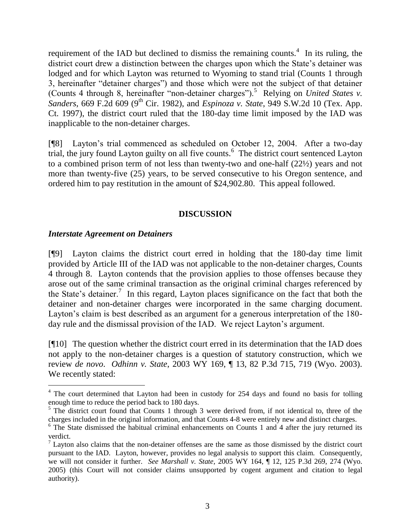requirement of the IAD but declined to dismiss the remaining counts.<sup>4</sup> In its ruling, the district court drew a distinction between the charges upon which the State's detainer was lodged and for which Layton was returned to Wyoming to stand trial (Counts 1 through 3, hereinafter "detainer charges") and those which were not the subject of that detainer (Counts 4 through 8, hereinafter "non-detainer charges").<sup>5</sup> Relying on *United States v.* Sanders, 669 F.2d 609 (9<sup>th</sup> Cir. 1982), and *Espinoza v. State*, 949 S.W.2d 10 (Tex. App. Ct. 1997), the district court ruled that the 180-day time limit imposed by the IAD was inapplicable to the non-detainer charges.

[¶8] Layton's trial commenced as scheduled on October 12, 2004. After a two-day trial, the jury found Layton guilty on all five counts.<sup>6</sup> The district court sentenced Layton to a combined prison term of not less than twenty-two and one-half (22½) years and not more than twenty-five (25) years, to be served consecutive to his Oregon sentence, and ordered him to pay restitution in the amount of \$24,902.80. This appeal followed.

# **DISCUSSION**

## *Interstate Agreement on Detainers*

[¶9] Layton claims the district court erred in holding that the 180-day time limit provided by Article III of the IAD was not applicable to the non-detainer charges, Counts 4 through 8. Layton contends that the provision applies to those offenses because they arose out of the same criminal transaction as the original criminal charges referenced by the State's detainer.<sup>7</sup> In this regard, Layton places significance on the fact that both the detainer and non-detainer charges were incorporated in the same charging document. Layton's claim is best described as an argument for a generous interpretation of the 180 day rule and the dismissal provision of the IAD. We reject Layton's argument.

[¶10] The question whether the district court erred in its determination that the IAD does not apply to the non-detainer charges is a question of statutory construction, which we review *de novo*. *Odhinn v. State*, 2003 WY 169, ¶ 13, 82 P.3d 715, 719 (Wyo. 2003). We recently stated:

 $4$  The court determined that Layton had been in custody for 254 days and found no basis for tolling enough time to reduce the period back to 180 days.

 $5$  The district court found that Counts 1 through 3 were derived from, if not identical to, three of the charges included in the original information, and that Counts 4-8 were entirely new and distinct charges.

 $6$  The State dismissed the habitual criminal enhancements on Counts 1 and 4 after the jury returned its verdict.

 $7$  Layton also claims that the non-detainer offenses are the same as those dismissed by the district court pursuant to the IAD. Layton, however, provides no legal analysis to support this claim. Consequently, we will not consider it further. *See Marshall v. State*, 2005 WY 164, ¶ 12, 125 P.3d 269, 274 (Wyo. 2005) (this Court will not consider claims unsupported by cogent argument and citation to legal authority).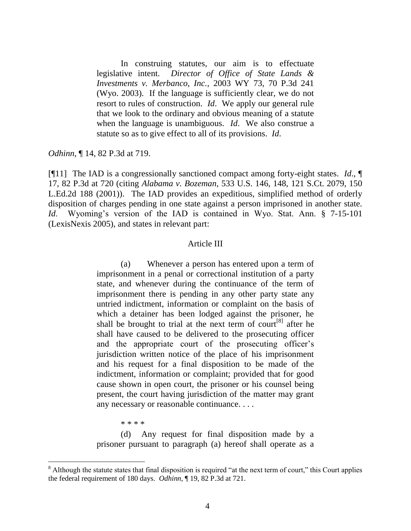In construing statutes, our aim is to effectuate legislative intent. *Director of Office of State Lands & Investments v. Merbanco, Inc.*, 2003 WY 73, 70 P.3d 241 (Wyo. 2003). If the language is sufficiently clear, we do not resort to rules of construction. *Id*. We apply our general rule that we look to the ordinary and obvious meaning of a statute when the language is unambiguous. *Id*. We also construe a statute so as to give effect to all of its provisions. *Id*.

*Odhinn*, ¶ 14, 82 P.3d at 719.

[¶11] The IAD is a congressionally sanctioned compact among forty-eight states. *Id*., ¶ 17, 82 P.3d at 720 (citing *Alabama v. Bozeman*, 533 U.S. 146, 148, 121 S.Ct. 2079, 150 L.Ed.2d 188 (2001)). The IAD provides an expeditious, simplified method of orderly disposition of charges pending in one state against a person imprisoned in another state. *Id*. Wyoming's version of the IAD is contained in Wyo. Stat. Ann. § 7-15-101 (LexisNexis 2005), and states in relevant part:

#### Article III

(a) Whenever a person has entered upon a term of imprisonment in a penal or correctional institution of a party state, and whenever during the continuance of the term of imprisonment there is pending in any other party state any untried indictment, information or complaint on the basis of which a detainer has been lodged against the prisoner, he shall be brought to trial at the next term of court<sup>[8]</sup> after he shall have caused to be delivered to the prosecuting officer and the appropriate court of the prosecuting officer's jurisdiction written notice of the place of his imprisonment and his request for a final disposition to be made of the indictment, information or complaint; provided that for good cause shown in open court, the prisoner or his counsel being present, the court having jurisdiction of the matter may grant any necessary or reasonable continuance. . . .

\* \* \* \*

l

(d) Any request for final disposition made by a prisoner pursuant to paragraph (a) hereof shall operate as a

<sup>&</sup>lt;sup>8</sup> Although the statute states that final disposition is required "at the next term of court," this Court applies the federal requirement of 180 days. *Odhinn*, ¶ 19, 82 P.3d at 721.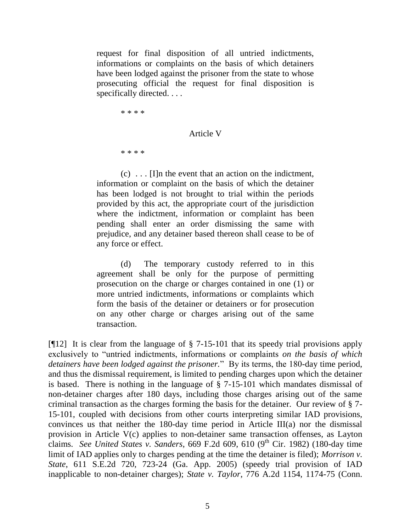request for final disposition of all untried indictments, informations or complaints on the basis of which detainers have been lodged against the prisoner from the state to whose prosecuting official the request for final disposition is specifically directed. . . .

\* \* \* \*

### Article V

\* \* \* \*

 $(c)$ ... [I]n the event that an action on the indictment, information or complaint on the basis of which the detainer has been lodged is not brought to trial within the periods provided by this act, the appropriate court of the jurisdiction where the indictment, information or complaint has been pending shall enter an order dismissing the same with prejudice, and any detainer based thereon shall cease to be of any force or effect.

(d) The temporary custody referred to in this agreement shall be only for the purpose of permitting prosecution on the charge or charges contained in one (1) or more untried indictments, informations or complaints which form the basis of the detainer or detainers or for prosecution on any other charge or charges arising out of the same transaction.

[¶12] It is clear from the language of § 7-15-101 that its speedy trial provisions apply exclusively to "untried indictments, informations or complaints *on the basis of which detainers have been lodged against the prisoner.*" By its terms, the 180-day time period, and thus the dismissal requirement, is limited to pending charges upon which the detainer is based. There is nothing in the language of § 7-15-101 which mandates dismissal of non-detainer charges after 180 days, including those charges arising out of the same criminal transaction as the charges forming the basis for the detainer. Our review of § 7- 15-101, coupled with decisions from other courts interpreting similar IAD provisions, convinces us that neither the 180-day time period in Article III(a) nor the dismissal provision in Article V(c) applies to non-detainer same transaction offenses, as Layton claims. *See United States v. Sanders*, 669 F.2d 609, 610 (9th Cir. 1982) (180-day time limit of IAD applies only to charges pending at the time the detainer is filed); *Morrison v. State*, 611 S.E.2d 720, 723-24 (Ga. App. 2005) (speedy trial provision of IAD inapplicable to non-detainer charges); *State v. Taylor*, 776 A.2d 1154, 1174-75 (Conn.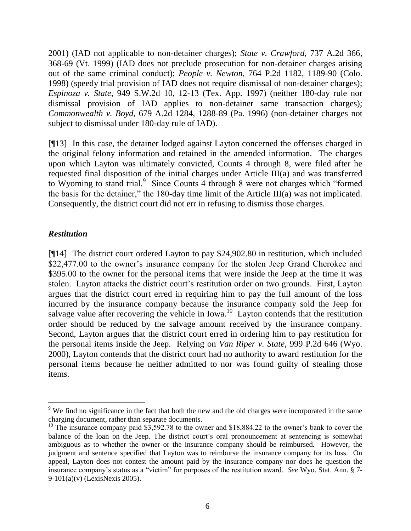2001) (IAD not applicable to non-detainer charges); *State v. Crawford*, 737 A.2d 366, 368-69 (Vt. 1999) (IAD does not preclude prosecution for non-detainer charges arising out of the same criminal conduct); *People v. Newton*, 764 P.2d 1182, 1189-90 (Colo. 1998) (speedy trial provision of IAD does not require dismissal of non-detainer charges); *Espinoza v. State*, 949 S.W.2d 10, 12-13 (Tex. App. 1997) (neither 180-day rule nor dismissal provision of IAD applies to non-detainer same transaction charges); *Commonwealth v. Boyd*, 679 A.2d 1284, 1288-89 (Pa. 1996) (non-detainer charges not subject to dismissal under 180-day rule of IAD).

[¶13] In this case, the detainer lodged against Layton concerned the offenses charged in the original felony information and retained in the amended information. The charges upon which Layton was ultimately convicted, Counts 4 through 8, were filed after he requested final disposition of the initial charges under Article III(a) and was transferred to Wyoming to stand trial.<sup>9</sup> Since Counts 4 through 8 were not charges which "formed the basis for the detainer," the 180-day time limit of the Article III(a) was not implicated. Consequently, the district court did not err in refusing to dismiss those charges.

# *Restitution*

 $\overline{a}$ 

[¶14] The district court ordered Layton to pay \$24,902.80 in restitution, which included \$22,477.00 to the owner's insurance company for the stolen Jeep Grand Cherokee and \$395.00 to the owner for the personal items that were inside the Jeep at the time it was stolen. Layton attacks the district court's restitution order on two grounds. First, Layton argues that the district court erred in requiring him to pay the full amount of the loss incurred by the insurance company because the insurance company sold the Jeep for salvage value after recovering the vehicle in Iowa.<sup>10</sup> Layton contends that the restitution order should be reduced by the salvage amount received by the insurance company. Second, Layton argues that the district court erred in ordering him to pay restitution for the personal items inside the Jeep. Relying on *Van Riper v. State*, 999 P.2d 646 (Wyo. 2000), Layton contends that the district court had no authority to award restitution for the personal items because he neither admitted to nor was found guilty of stealing those items.

<sup>&</sup>lt;sup>9</sup> We find no significance in the fact that both the new and the old charges were incorporated in the same charging document, rather than separate documents.

<sup>&</sup>lt;sup>10</sup> The insurance company paid  $\overline{\$3,592.78\}$  to the owner and  $\overline{\$18,884.22\}$  to the owner's bank to cover the balance of the loan on the Jeep. The district court's oral pronouncement at sentencing is somewhat ambiguous as to whether the owner or the insurance company should be reimbursed. However, the judgment and sentence specified that Layton was to reimburse the insurance company for its loss. On appeal, Layton does not contest the amount paid by the insurance company nor does he question the insurance company's status as a "victim" for purposes of the restitution award. *See* Wyo. Stat. Ann. § 7- 9-101(a)(v) (LexisNexis 2005).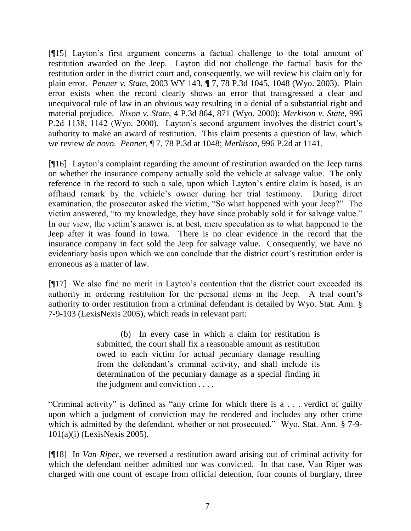[¶15] Layton's first argument concerns a factual challenge to the total amount of restitution awarded on the Jeep. Layton did not challenge the factual basis for the restitution order in the district court and, consequently, we will review his claim only for plain error. *Penner v. State*, 2003 WY 143, ¶ 7, 78 P.3d 1045, 1048 (Wyo. 2003). Plain error exists when the record clearly shows an error that transgressed a clear and unequivocal rule of law in an obvious way resulting in a denial of a substantial right and material prejudice. *Nixon v. State*, 4 P.3d 864, 871 (Wyo. 2000); *Merkison v. State*, 996 P.2d 1138, 1142 (Wyo. 2000). Layton's second argument involves the district court's authority to make an award of restitution. This claim presents a question of law, which we review *de novo*. *Penner*, ¶ 7, 78 P.3d at 1048; *Merkison*, 996 P.2d at 1141.

[¶16] Layton's complaint regarding the amount of restitution awarded on the Jeep turns on whether the insurance company actually sold the vehicle at salvage value. The only reference in the record to such a sale, upon which Layton's entire claim is based, is an offhand remark by the vehicle's owner during her trial testimony. During direct examination, the prosecutor asked the victim, "So what happened with your Jeep?" The victim answered, "to my knowledge, they have since probably sold it for salvage value." In our view, the victim's answer is, at best, mere speculation as to what happened to the Jeep after it was found in Iowa. There is no clear evidence in the record that the insurance company in fact sold the Jeep for salvage value. Consequently, we have no evidentiary basis upon which we can conclude that the district court's restitution order is erroneous as a matter of law.

[¶17] We also find no merit in Layton's contention that the district court exceeded its authority in ordering restitution for the personal items in the Jeep. A trial court's authority to order restitution from a criminal defendant is detailed by Wyo. Stat. Ann. § 7-9-103 (LexisNexis 2005), which reads in relevant part:

> (b) In every case in which a claim for restitution is submitted, the court shall fix a reasonable amount as restitution owed to each victim for actual pecuniary damage resulting from the defendant's criminal activity, and shall include its determination of the pecuniary damage as a special finding in the judgment and conviction . . . .

"Criminal activity" is defined as "any crime for which there is a . . . verdict of guilty upon which a judgment of conviction may be rendered and includes any other crime which is admitted by the defendant, whether or not prosecuted." Wyo. Stat. Ann. § 7-9- 101(a)(i) (LexisNexis 2005).

[¶18] In *Van Riper*, we reversed a restitution award arising out of criminal activity for which the defendant neither admitted nor was convicted. In that case, Van Riper was charged with one count of escape from official detention, four counts of burglary, three